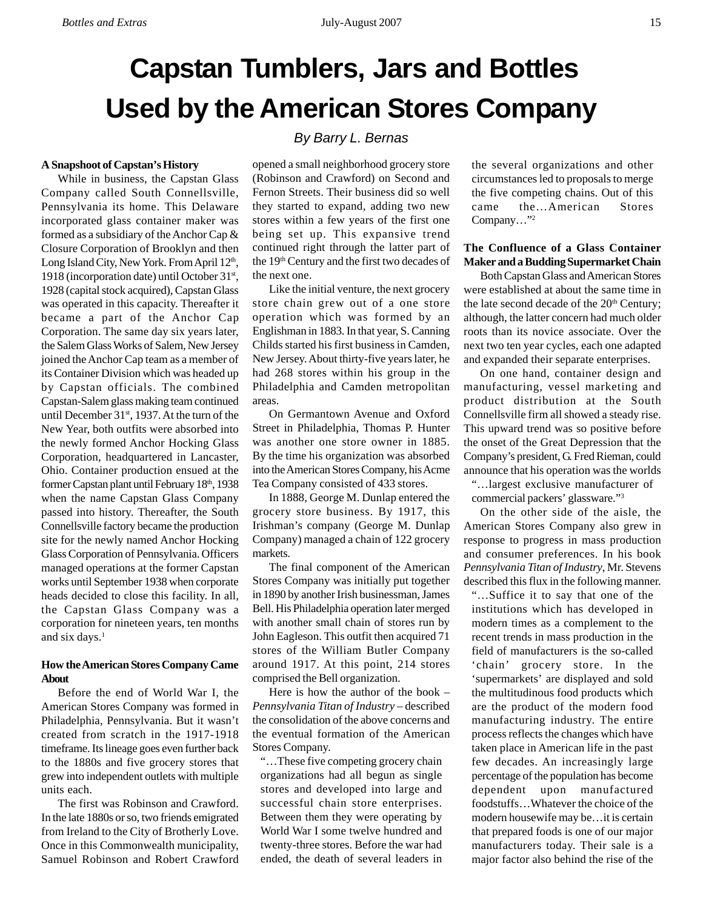# **Capstan Tumblers, Jars and Bottles Used by the American Stores Company**

# **A Snapshoot of Capstan's History**

While in business, the Capstan Glass Company called South Connellsville, Pennsylvania its home. This Delaware incorporated glass container maker was formed as a subsidiary of the Anchor Cap & Closure Corporation of Brooklyn and then Long Island City, New York. From April 12<sup>th</sup>, 1918 (incorporation date) until October  $31<sup>st</sup>$ , 1928 (capital stock acquired), Capstan Glass was operated in this capacity. Thereafter it became a part of the Anchor Cap Corporation. The same day six years later, the Salem Glass Works of Salem, New Jersey joined the Anchor Cap team as a member of its Container Division which was headed up by Capstan officials. The combined Capstan-Salem glass making team continued until December 31<sup>st</sup>, 1937. At the turn of the New Year, both outfits were absorbed into the newly formed Anchor Hocking Glass Corporation, headquartered in Lancaster, Ohio. Container production ensued at the former Capstan plant until February 18th, 1938 when the name Capstan Glass Company passed into history. Thereafter, the South Connellsville factory became the production site for the newly named Anchor Hocking Glass Corporation of Pennsylvania. Officers managed operations at the former Capstan works until September 1938 when corporate heads decided to close this facility. In all, the Capstan Glass Company was a corporation for nineteen years, ten months and six days.<sup>1</sup>

# **How the American Stores Company Came About**

Before the end of World War I, the American Stores Company was formed in Philadelphia, Pennsylvania. But it wasn't created from scratch in the 1917-1918 timeframe. Its lineage goes even further back to the 1880s and five grocery stores that grew into independent outlets with multiple units each.

The first was Robinson and Crawford. In the late 1880s or so, two friends emigrated from Ireland to the City of Brotherly Love. Once in this Commonwealth municipality, Samuel Robinson and Robert Crawford

# *By Barry L. Bernas*

opened a small neighborhood grocery store (Robinson and Crawford) on Second and Fernon Streets. Their business did so well they started to expand, adding two new stores within a few years of the first one being set up. This expansive trend continued right through the latter part of the 19<sup>th</sup> Century and the first two decades of the next one.

Like the initial venture, the next grocery store chain grew out of a one store operation which was formed by an Englishman in 1883. In that year, S. Canning Childs started his first business in Camden, New Jersey. About thirty-five years later, he had 268 stores within his group in the Philadelphia and Camden metropolitan areas.

On Germantown Avenue and Oxford Street in Philadelphia, Thomas P. Hunter was another one store owner in 1885. By the time his organization was absorbed into the American Stores Company, his Acme Tea Company consisted of 433 stores.

In 1888, George M. Dunlap entered the grocery store business. By 1917, this Irishman's company (George M. Dunlap Company) managed a chain of 122 grocery markets.

The final component of the American Stores Company was initially put together in 1890 by another Irish businessman, James Bell. His Philadelphia operation later merged with another small chain of stores run by John Eagleson. This outfit then acquired 71 stores of the William Butler Company around 1917. At this point, 214 stores comprised the Bell organization.

Here is how the author of the book – *Pennsylvania Titan of Industry* – described the consolidation of the above concerns and the eventual formation of the American Stores Company.

"…These five competing grocery chain organizations had all begun as single stores and developed into large and successful chain store enterprises. Between them they were operating by World War I some twelve hundred and twenty-three stores. Before the war had ended, the death of several leaders in

the several organizations and other circumstances led to proposals to merge the five competing chains. Out of this came the…American Stores Company…"2

# **The Confluence of a Glass Container Maker and a Budding Supermarket Chain**

Both Capstan Glass and American Stores were established at about the same time in the late second decade of the  $20<sup>th</sup>$  Century; although, the latter concern had much older roots than its novice associate. Over the next two ten year cycles, each one adapted and expanded their separate enterprises.

On one hand, container design and manufacturing, vessel marketing and product distribution at the South Connellsville firm all showed a steady rise. This upward trend was so positive before the onset of the Great Depression that the Company's president, G. Fred Rieman, could announce that his operation was the worlds "…largest exclusive manufacturer of

commercial packers' glassware."3

On the other side of the aisle, the American Stores Company also grew in response to progress in mass production and consumer preferences. In his book *Pennsylvania Titan of Industry*, Mr. Stevens described this flux in the following manner. "…Suffice it to say that one of the

institutions which has developed in modern times as a complement to the recent trends in mass production in the field of manufacturers is the so-called 'chain' grocery store. In the 'supermarkets' are displayed and sold the multitudinous food products which are the product of the modern food manufacturing industry. The entire process reflects the changes which have taken place in American life in the past few decades. An increasingly large percentage of the population has become dependent upon manufactured foodstuffs…Whatever the choice of the modern housewife may be…it is certain that prepared foods is one of our major manufacturers today. Their sale is a major factor also behind the rise of the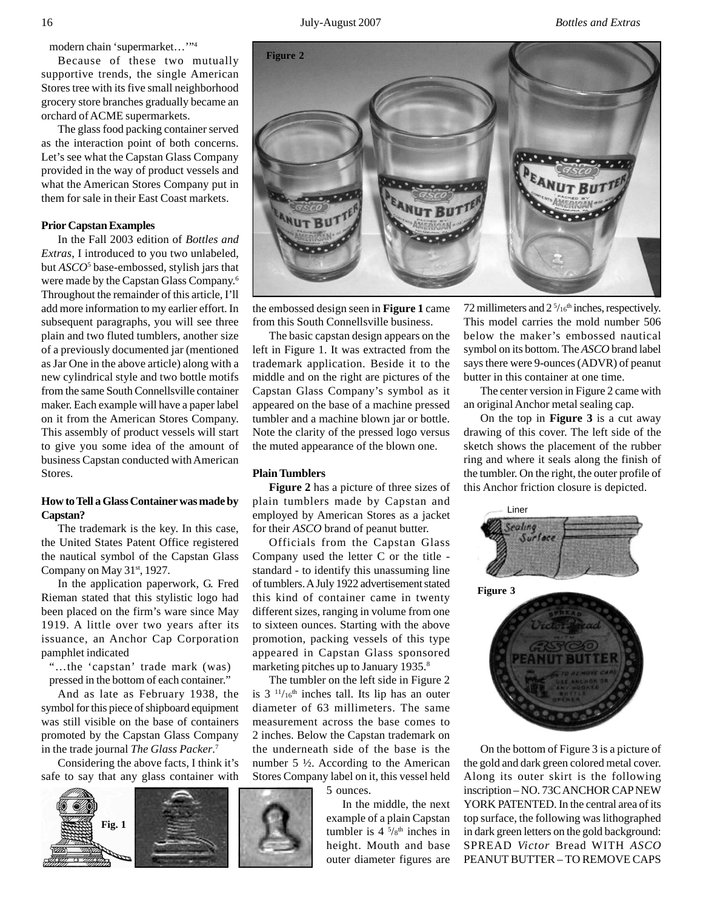16 July-August 2007 *Bottles and Extras*

modern chain 'supermarket..."<sup>4</sup>

Because of these two mutually supportive trends, the single American Stores tree with its five small neighborhood grocery store branches gradually became an orchard of ACME supermarkets.

The glass food packing container served as the interaction point of both concerns. Let's see what the Capstan Glass Company provided in the way of product vessels and what the American Stores Company put in them for sale in their East Coast markets.

## **Prior Capstan Examples**

In the Fall 2003 edition of *Bottles and Extras*, I introduced to you two unlabeled, but *ASCO*<sup>5</sup> base-embossed, stylish jars that were made by the Capstan Glass Company.6 Throughout the remainder of this article, I'll add more information to my earlier effort. In subsequent paragraphs, you will see three plain and two fluted tumblers, another size of a previously documented jar (mentioned as Jar One in the above article) along with a new cylindrical style and two bottle motifs from the same South Connellsville container maker. Each example will have a paper label on it from the American Stores Company. This assembly of product vessels will start to give you some idea of the amount of business Capstan conducted with American Stores.

# **How to Tell a Glass Container was made by Capstan?**

The trademark is the key. In this case, the United States Patent Office registered the nautical symbol of the Capstan Glass Company on May 31<sup>st</sup>, 1927.

In the application paperwork, G. Fred Rieman stated that this stylistic logo had been placed on the firm's ware since May 1919. A little over two years after its issuance, an Anchor Cap Corporation pamphlet indicated

"…the 'capstan' trade mark (was) pressed in the bottom of each container."

And as late as February 1938, the symbol for this piece of shipboard equipment was still visible on the base of containers promoted by the Capstan Glass Company in the trade journal *The Glass Packer*. 7

Considering the above facts, I think it's safe to say that any glass container with





the embossed design seen in **Figure 1** came from this South Connellsville business.

The basic capstan design appears on the left in Figure 1. It was extracted from the trademark application. Beside it to the middle and on the right are pictures of the Capstan Glass Company's symbol as it appeared on the base of a machine pressed tumbler and a machine blown jar or bottle. Note the clarity of the pressed logo versus the muted appearance of the blown one.

## **Plain Tumblers**

**Figure 2** has a picture of three sizes of plain tumblers made by Capstan and employed by American Stores as a jacket for their *ASCO* brand of peanut butter.

Officials from the Capstan Glass Company used the letter C or the title standard - to identify this unassuming line of tumblers. A July 1922 advertisement stated this kind of container came in twenty different sizes, ranging in volume from one to sixteen ounces. Starting with the above promotion, packing vessels of this type appeared in Capstan Glass sponsored marketing pitches up to January 1935.<sup>8</sup>

The tumbler on the left side in Figure 2 is  $3<sup>11</sup>/16<sup>th</sup>$  inches tall. Its lip has an outer diameter of 63 millimeters. The same measurement across the base comes to 2 inches. Below the Capstan trademark on the underneath side of the base is the number 5 ½. According to the American Stores Company label on it, this vessel held 5 ounces.

> In the middle, the next example of a plain Capstan tumbler is  $4^{5}/8^{\text{th}}$  inches in height. Mouth and base outer diameter figures are

72 millimeters and  $2^{5/16}$ <sup>th</sup> inches, respectively. This model carries the mold number 506 below the maker's embossed nautical symbol on its bottom. The *ASCO* brand label says there were 9-ounces (ADVR) of peanut butter in this container at one time.

The center version in Figure 2 came with an original Anchor metal sealing cap.

On the top in **Figure 3** is a cut away drawing of this cover. The left side of the sketch shows the placement of the rubber ring and where it seals along the finish of the tumbler. On the right, the outer profile of this Anchor friction closure is depicted.



On the bottom of Figure 3 is a picture of the gold and dark green colored metal cover. Along its outer skirt is the following inscription – NO. 73C ANCHOR CAP NEW YORK PATENTED. In the central area of its top surface, the following was lithographed in dark green letters on the gold background: SPREAD *Victor* Bread WITH *ASCO* PEANUT BUTTER – TO REMOVE CAPS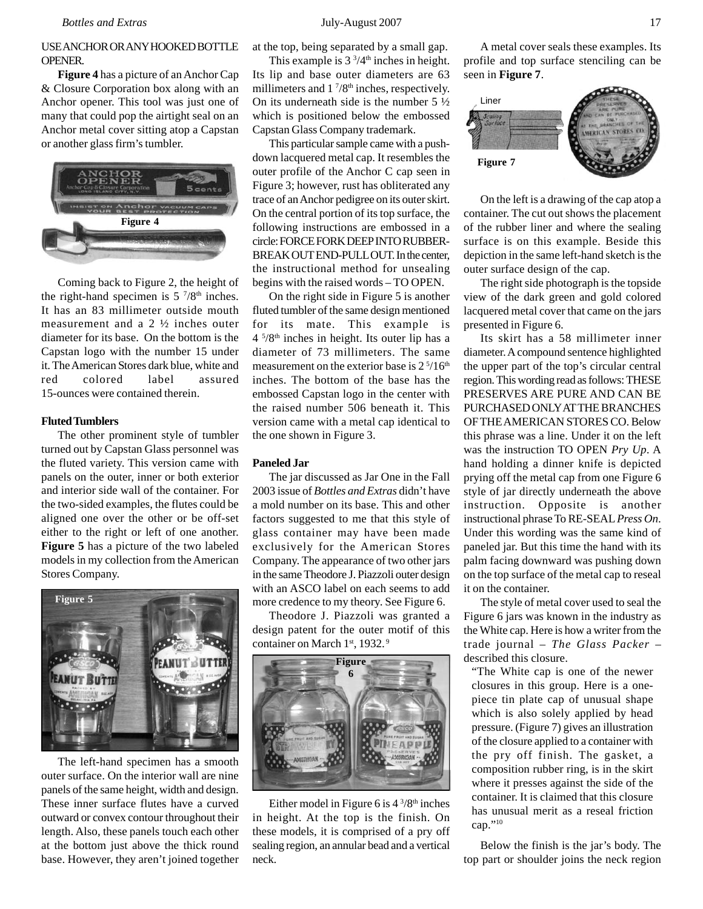# USE ANCHOR OR ANY HOOKED BOTTLE OPENER.

**Figure 4** has a picture of an Anchor Cap & Closure Corporation box along with an Anchor opener. This tool was just one of many that could pop the airtight seal on an Anchor metal cover sitting atop a Capstan or another glass firm's tumbler.



Coming back to Figure 2, the height of the right-hand specimen is  $5\frac{7}{8}$ <sup>th</sup> inches. It has an 83 millimeter outside mouth measurement and a 2 ½ inches outer diameter for its base. On the bottom is the Capstan logo with the number 15 under it. The American Stores dark blue, white and red colored label assured 15-ounces were contained therein.

## **Fluted Tumblers**

The other prominent style of tumbler turned out by Capstan Glass personnel was the fluted variety. This version came with panels on the outer, inner or both exterior and interior side wall of the container. For the two-sided examples, the flutes could be aligned one over the other or be off-set either to the right or left of one another. **Figure 5** has a picture of the two labeled models in my collection from the American Stores Company.



The left-hand specimen has a smooth outer surface. On the interior wall are nine panels of the same height, width and design. These inner surface flutes have a curved outward or convex contour throughout their length. Also, these panels touch each other at the bottom just above the thick round base. However, they aren't joined together at the top, being separated by a small gap.

This example is  $3\frac{3}{4}$ <sup>th</sup> inches in height. Its lip and base outer diameters are 63 millimeters and  $1\frac{7}{8}$ <sup>th</sup> inches, respectively. On its underneath side is the number  $5\frac{1}{2}$ which is positioned below the embossed Capstan Glass Company trademark.

This particular sample came with a pushdown lacquered metal cap. It resembles the outer profile of the Anchor C cap seen in Figure 3; however, rust has obliterated any trace of an Anchor pedigree on its outer skirt. On the central portion of its top surface, the following instructions are embossed in a circle: FORCE FORK DEEP INTO RUBBER-BREAK OUT END-PULL OUT. In the center, the instructional method for unsealing begins with the raised words – TO OPEN.

On the right side in Figure 5 is another fluted tumbler of the same design mentioned for its mate. This example is 4 5 /8th inches in height. Its outer lip has a diameter of 73 millimeters. The same measurement on the exterior base is  $2<sup>5</sup>/16<sup>th</sup>$ inches. The bottom of the base has the embossed Capstan logo in the center with the raised number 506 beneath it. This version came with a metal cap identical to the one shown in Figure 3.

#### **Paneled Jar**

The jar discussed as Jar One in the Fall 2003 issue of *Bottles and Extras* didn't have a mold number on its base. This and other factors suggested to me that this style of glass container may have been made exclusively for the American Stores Company. The appearance of two other jars in the same Theodore J. Piazzoli outer design with an ASCO label on each seems to add more credence to my theory. See Figure 6.

Theodore J. Piazzoli was granted a design patent for the outer motif of this container on March 1st, 1932.<sup>9</sup>



Either model in Figure 6 is  $4\frac{3}{8}$ <sup>th</sup> inches in height. At the top is the finish. On these models, it is comprised of a pry off sealing region, an annular bead and a vertical neck.

A metal cover seals these examples. Its profile and top surface stenciling can be seen in **Figure 7**.



On the left is a drawing of the cap atop a container. The cut out shows the placement of the rubber liner and where the sealing surface is on this example. Beside this depiction in the same left-hand sketch is the outer surface design of the cap.

The right side photograph is the topside view of the dark green and gold colored lacquered metal cover that came on the jars presented in Figure 6.

Its skirt has a 58 millimeter inner diameter. A compound sentence highlighted the upper part of the top's circular central region. This wording read as follows: THESE PRESERVES ARE PURE AND CAN BE PURCHASED ONLY AT THE BRANCHES OF THE AMERICAN STORES CO. Below this phrase was a line. Under it on the left was the instruction TO OPEN *Pry Up*. A hand holding a dinner knife is depicted prying off the metal cap from one Figure 6 style of jar directly underneath the above instruction. Opposite is another instructional phrase To RE-SEAL *Press On*. Under this wording was the same kind of paneled jar. But this time the hand with its palm facing downward was pushing down on the top surface of the metal cap to reseal it on the container.

The style of metal cover used to seal the Figure 6 jars was known in the industry as the White cap. Here is how a writer from the trade journal – *The Glass Packer* – described this closure.

"The White cap is one of the newer closures in this group. Here is a onepiece tin plate cap of unusual shape which is also solely applied by head pressure. (Figure 7) gives an illustration of the closure applied to a container with the pry off finish. The gasket, a composition rubber ring, is in the skirt where it presses against the side of the container. It is claimed that this closure has unusual merit as a reseal friction cap."10

Below the finish is the jar's body. The top part or shoulder joins the neck region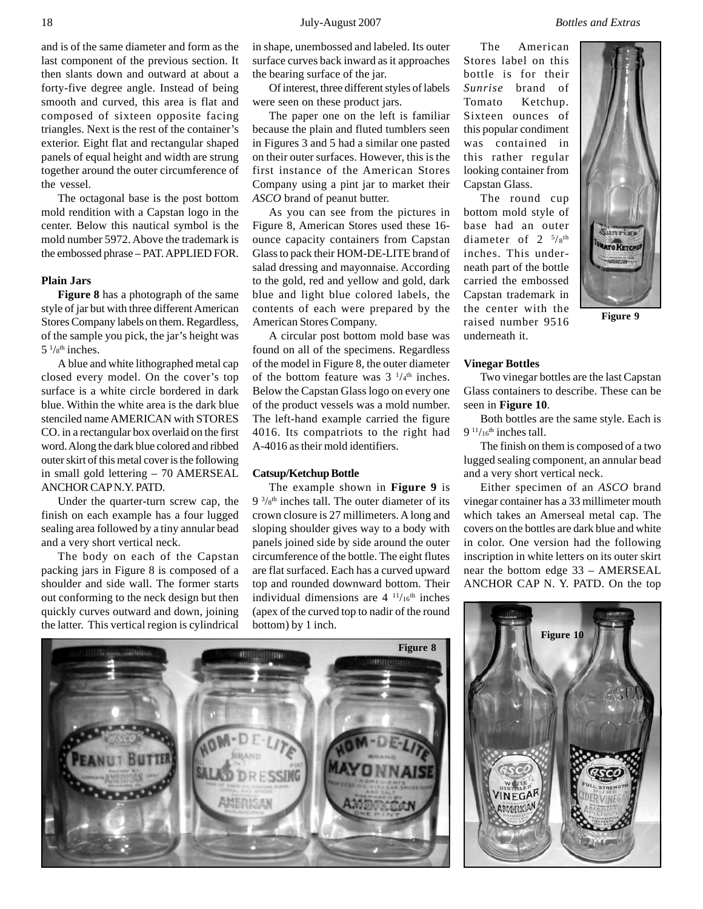and is of the same diameter and form as the last component of the previous section. It then slants down and outward at about a forty-five degree angle. Instead of being smooth and curved, this area is flat and composed of sixteen opposite facing triangles. Next is the rest of the container's exterior. Eight flat and rectangular shaped panels of equal height and width are strung together around the outer circumference of the vessel.

The octagonal base is the post bottom mold rendition with a Capstan logo in the center. Below this nautical symbol is the mold number 5972. Above the trademark is the embossed phrase – PAT. APPLIED FOR.

## **Plain Jars**

**Figure 8** has a photograph of the same style of jar but with three different American Stores Company labels on them. Regardless, of the sample you pick, the jar's height was  $5\frac{1}{8}$ <sup>th</sup> inches.

A blue and white lithographed metal cap closed every model. On the cover's top surface is a white circle bordered in dark blue. Within the white area is the dark blue stenciled name AMERICAN with STORES CO. in a rectangular box overlaid on the first word. Along the dark blue colored and ribbed outer skirt of this metal cover is the following in small gold lettering – 70 AMERSEAL ANCHOR CAP N.Y. PATD.

Under the quarter-turn screw cap, the finish on each example has a four lugged sealing area followed by a tiny annular bead and a very short vertical neck.

The body on each of the Capstan packing jars in Figure 8 is composed of a shoulder and side wall. The former starts out conforming to the neck design but then quickly curves outward and down, joining the latter. This vertical region is cylindrical

in shape, unembossed and labeled. Its outer surface curves back inward as it approaches the bearing surface of the jar.

Of interest, three different styles of labels were seen on these product jars.

The paper one on the left is familiar because the plain and fluted tumblers seen in Figures 3 and 5 had a similar one pasted on their outer surfaces. However, this is the first instance of the American Stores Company using a pint jar to market their *ASCO* brand of peanut butter.

As you can see from the pictures in Figure 8, American Stores used these 16 ounce capacity containers from Capstan Glass to pack their HOM-DE-LITE brand of salad dressing and mayonnaise. According to the gold, red and yellow and gold, dark blue and light blue colored labels, the contents of each were prepared by the American Stores Company.

A circular post bottom mold base was found on all of the specimens. Regardless of the model in Figure 8, the outer diameter of the bottom feature was  $3^{1/4}$ <sup>th</sup> inches. Below the Capstan Glass logo on every one of the product vessels was a mold number. The left-hand example carried the figure 4016. Its compatriots to the right had A-4016 as their mold identifiers.

## **Catsup/Ketchup Bottle**

The example shown in **Figure 9** is  $9^{3}/8^{\text{th}}$  inches tall. The outer diameter of its crown closure is 27 millimeters. A long and sloping shoulder gives way to a body with panels joined side by side around the outer circumference of the bottle. The eight flutes are flat surfaced. Each has a curved upward top and rounded downward bottom. Their individual dimensions are  $4 \frac{11}{16}$ th inches (apex of the curved top to nadir of the round bottom) by 1 inch.

The American Stores label on this bottle is for their *Sunrise* brand of Tomato Ketchup. Sixteen ounces of this popular condiment was contained in this rather regular looking container from Capstan Glass.

The round cup bottom mold style of base had an outer diameter of  $2 \frac{5}{8}$ th inches. This underneath part of the bottle carried the embossed Capstan trademark in the center with the raised number 9516 underneath it.

**Figure 9**

## **Vinegar Bottles**

Two vinegar bottles are the last Capstan Glass containers to describe. These can be seen in **Figure 10**.

Both bottles are the same style. Each is 9  $11/16$ <sup>th</sup> inches tall.

The finish on them is composed of a two lugged sealing component, an annular bead and a very short vertical neck.

Either specimen of an *ASCO* brand vinegar container has a 33 millimeter mouth which takes an Amerseal metal cap. The covers on the bottles are dark blue and white in color. One version had the following inscription in white letters on its outer skirt near the bottom edge 33 – AMERSEAL ANCHOR CAP N. Y. PATD. On the top